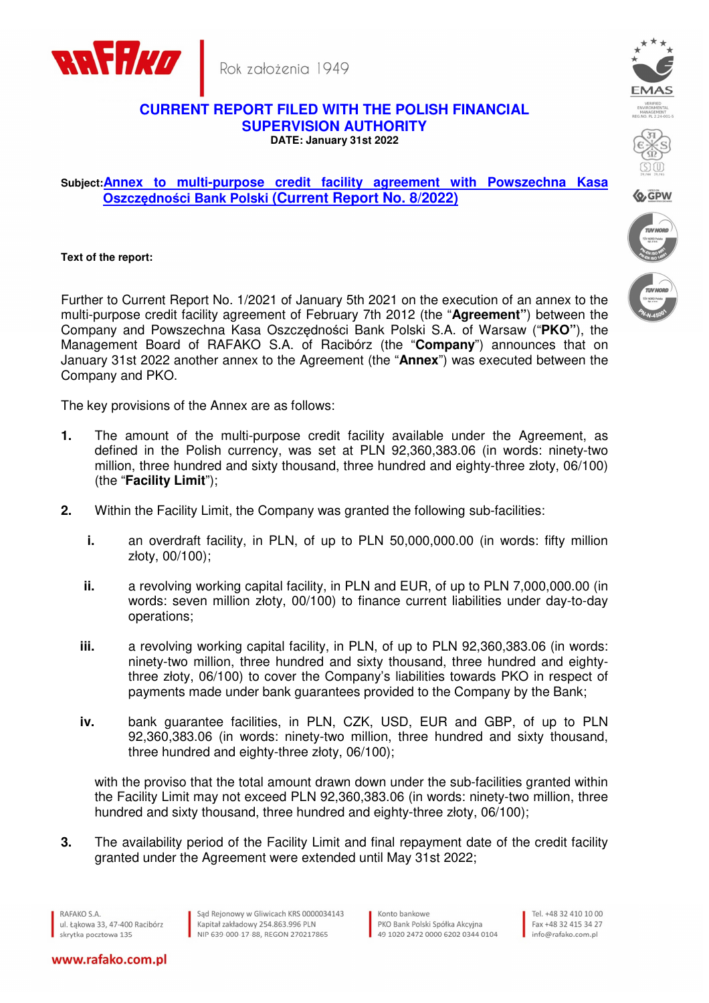

Rok założenia 1949

## **CURRENT REPORT FILED WITH THE POLISH FINANCIAL SUPERVISION AUTHORITY DATE: January 31st 2022**

## **Subject:Annex to multi-purpose credit facility agreement with Powszechna Kasa Oszczędności Bank Polski (Current Report No. 8/2022)**

**Text of the report:** 

Further to Current Report No. 1/2021 of January 5th 2021 on the execution of an annex to the multi-purpose credit facility agreement of February 7th 2012 (the "**Agreement"**) between the Company and Powszechna Kasa Oszczędności Bank Polski S.A. of Warsaw ("**PKO"**), the Management Board of RAFAKO S.A. of Racibórz (the "**Company**") announces that on January 31st 2022 another annex to the Agreement (the "**Annex**") was executed between the Company and PKO.

The key provisions of the Annex are as follows:

- **1.** The amount of the multi-purpose credit facility available under the Agreement, as defined in the Polish currency, was set at PLN 92,360,383.06 (in words: ninety-two million, three hundred and sixty thousand, three hundred and eighty-three złoty, 06/100) (the "**Facility Limit**");
- **2.** Within the Facility Limit, the Company was granted the following sub-facilities:
	- **i.** an overdraft facility, in PLN, of up to PLN 50,000,000.00 (in words: fifty million złoty, 00/100);
	- **ii.** a revolving working capital facility, in PLN and EUR, of up to PLN 7,000,000.00 (in words: seven million złoty, 00/100) to finance current liabilities under day-to-day operations;
	- **iii.** a revolving working capital facility, in PLN, of up to PLN 92,360,383.06 (in words: ninety-two million, three hundred and sixty thousand, three hundred and eightythree złoty, 06/100) to cover the Company's liabilities towards PKO in respect of payments made under bank guarantees provided to the Company by the Bank;
	- **iv.** bank guarantee facilities, in PLN, CZK, USD, EUR and GBP, of up to PLN 92,360,383.06 (in words: ninety-two million, three hundred and sixty thousand, three hundred and eighty-three złoty, 06/100);

with the proviso that the total amount drawn down under the sub-facilities granted within the Facility Limit may not exceed PLN 92,360,383.06 (in words: ninety-two million, three hundred and sixty thousand, three hundred and eighty-three złoty, 06/100);

**3.** The availability period of the Facility Limit and final repayment date of the credit facility granted under the Agreement were extended until May 31st 2022;

RAFAKO S.A. ul, Łakowa 33, 47-400 Racibórz skrytka pocztowa 135

Sąd Rejonowy w Gliwicach KRS 0000034143 Kapitał zakładowy 254.863.996 PLN NIP 639-000-17-88, REGON 270217865

Konto bankowe PKO Bank Polski Spółka Akcyina 49 1020 2472 0000 6202 0344 0104